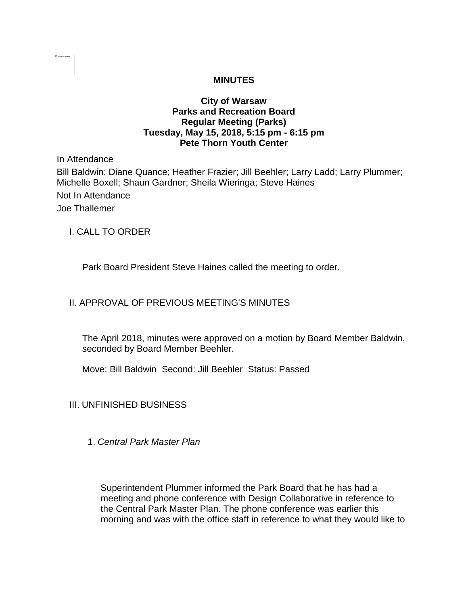### **MINUTES**

## **City of Warsaw Parks and Recreation Board Regular Meeting (Parks) Tuesday, May 15, 2018, 5:15 pm - 6:15 pm Pete Thorn Youth Center**

In Attendance

Bill Baldwin; Diane Quance; Heather Frazier; Jill Beehler; Larry Ladd; Larry Plummer; Michelle Boxell; Shaun Gardner; Sheila Wieringa; Steve Haines Not In Attendance Joe Thallemer

I. CALL TO ORDER

Park Board President Steve Haines called the meeting to order.

## II. APPROVAL OF PREVIOUS MEETING'S MINUTES

The April 2018, minutes were approved on a motion by Board Member Baldwin, seconded by Board Member Beehler.

Move: Bill Baldwin Second: Jill Beehler Status: Passed

III. UNFINISHED BUSINESS

1. *Central Park Master Plan* 

Superintendent Plummer informed the Park Board that he has had a meeting and phone conference with Design Collaborative in reference to the Central Park Master Plan. The phone conference was earlier this morning and was with the office staff in reference to what they would like to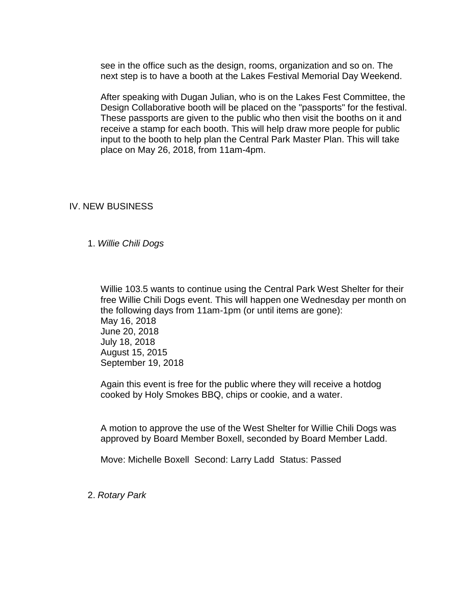see in the office such as the design, rooms, organization and so on. The next step is to have a booth at the Lakes Festival Memorial Day Weekend.

After speaking with Dugan Julian, who is on the Lakes Fest Committee, the Design Collaborative booth will be placed on the "passports" for the festival. These passports are given to the public who then visit the booths on it and receive a stamp for each booth. This will help draw more people for public input to the booth to help plan the Central Park Master Plan. This will take place on May 26, 2018, from 11am-4pm.

### IV. NEW BUSINESS

1. *Willie Chili Dogs*

Willie 103.5 wants to continue using the Central Park West Shelter for their free Willie Chili Dogs event. This will happen one Wednesday per month on the following days from 11am-1pm (or until items are gone): May 16, 2018 June 20, 2018 July 18, 2018 August 15, 2015 September 19, 2018

Again this event is free for the public where they will receive a hotdog cooked by Holy Smokes BBQ, chips or cookie, and a water.

A motion to approve the use of the West Shelter for Willie Chili Dogs was approved by Board Member Boxell, seconded by Board Member Ladd.

Move: Michelle Boxell Second: Larry Ladd Status: Passed

2. *Rotary Park*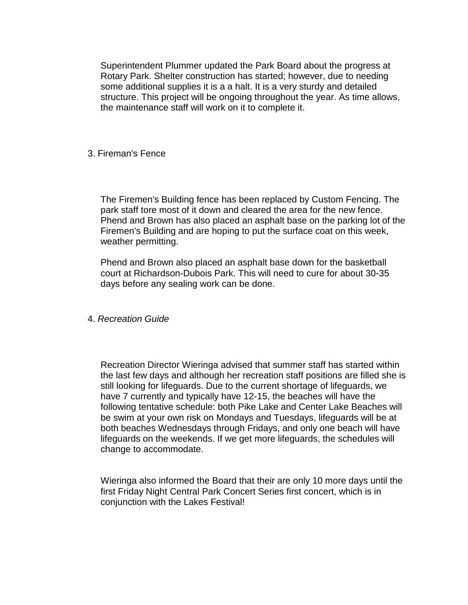Superintendent Plummer updated the Park Board about the progress at Rotary Park. Shelter construction has started; however, due to needing some additional supplies it is a a halt. It is a very sturdy and detailed structure. This project will be ongoing throughout the year. As time allows, the maintenance staff will work on it to complete it.

### 3. Fireman's Fence

The Firemen's Building fence has been replaced by Custom Fencing. The park staff tore most of it down and cleared the area for the new fence. Phend and Brown has also placed an asphalt base on the parking lot of the Firemen's Building and are hoping to put the surface coat on this week, weather permitting.

Phend and Brown also placed an asphalt base down for the basketball court at Richardson-Dubois Park. This will need to cure for about 30-35 days before any sealing work can be done.

#### 4. *Recreation Guide*

Recreation Director Wieringa advised that summer staff has started within the last few days and although her recreation staff positions are filled she is still looking for lifeguards. Due to the current shortage of lifeguards, we have 7 currently and typically have 12-15, the beaches will have the following tentative schedule: both Pike Lake and Center Lake Beaches will be swim at your own risk on Mondays and Tuesdays, lifeguards will be at both beaches Wednesdays through Fridays, and only one beach will have lifeguards on the weekends. If we get more lifeguards, the schedules will change to accommodate.

Wieringa also informed the Board that their are only 10 more days until the first Friday Night Central Park Concert Series first concert, which is in conjunction with the Lakes Festival!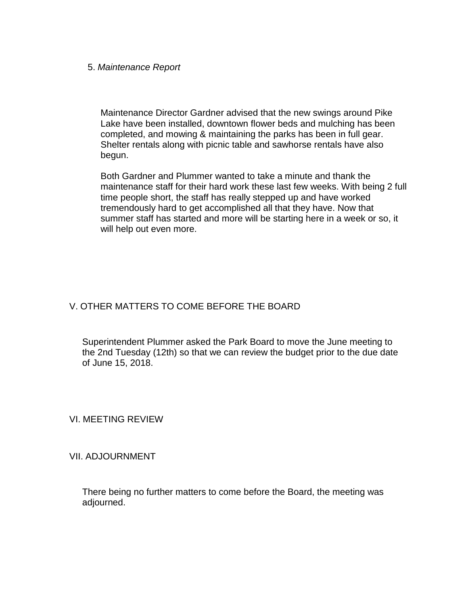#### 5. *Maintenance Report*

Maintenance Director Gardner advised that the new swings around Pike Lake have been installed, downtown flower beds and mulching has been completed, and mowing & maintaining the parks has been in full gear. Shelter rentals along with picnic table and sawhorse rentals have also begun.

Both Gardner and Plummer wanted to take a minute and thank the maintenance staff for their hard work these last few weeks. With being 2 full time people short, the staff has really stepped up and have worked tremendously hard to get accomplished all that they have. Now that summer staff has started and more will be starting here in a week or so, it will help out even more.

# V. OTHER MATTERS TO COME BEFORE THE BOARD

Superintendent Plummer asked the Park Board to move the June meeting to the 2nd Tuesday (12th) so that we can review the budget prior to the due date of June 15, 2018.

VI. MEETING REVIEW

VII. ADJOURNMENT

There being no further matters to come before the Board, the meeting was adjourned.